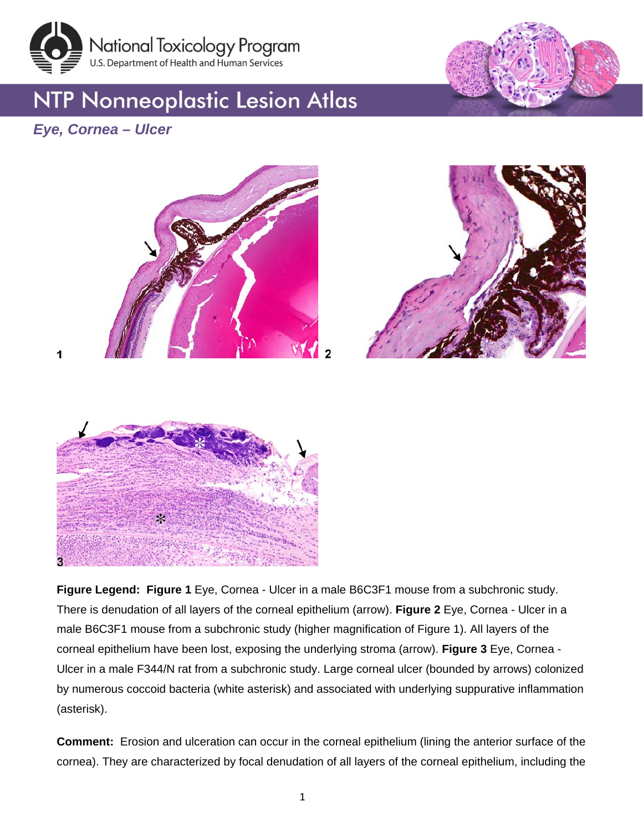

## **NTP Nonneoplastic Lesion Atlas**



### *Eye, Cornea – Ulcer*







**Figure Legend: Figure 1** Eye, Cornea - Ulcer in a male B6C3F1 mouse from a subchronic study. There is denudation of all layers of the corneal epithelium (arrow). **Figure 2** Eye, Cornea - Ulcer in a male B6C3F1 mouse from a subchronic study (higher magnification of Figure 1). All layers of the corneal epithelium have been lost, exposing the underlying stroma (arrow). **Figure 3** Eye, Cornea - Ulcer in a male F344/N rat from a subchronic study. Large corneal ulcer (bounded by arrows) colonized by numerous coccoid bacteria (white asterisk) and associated with underlying suppurative inflammation (asterisk).

**Comment:** Erosion and ulceration can occur in the corneal epithelium (lining the anterior surface of the cornea). They are characterized by focal denudation of all layers of the corneal epithelium, including the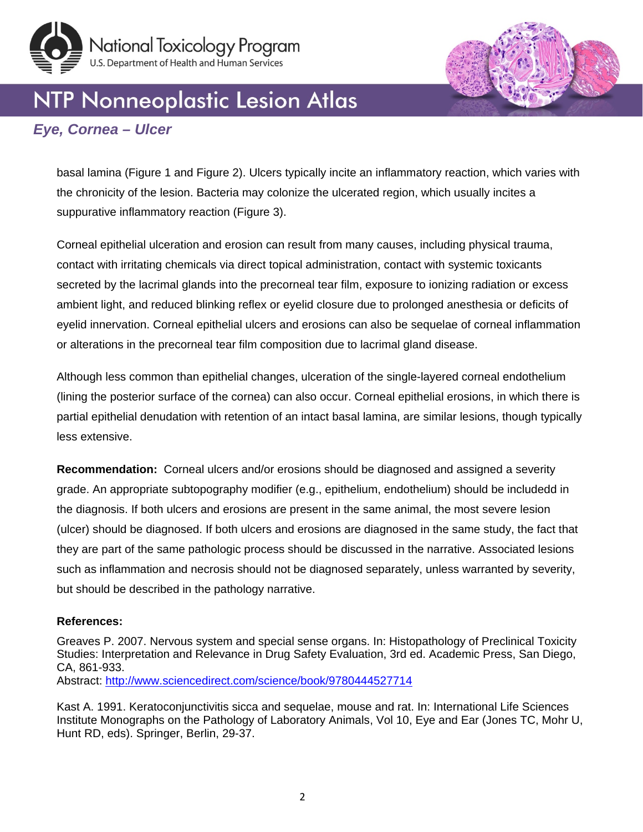

# NTP Nonneoplastic Lesion Atlas

### *Eye, Cornea – Ulcer*

basal lamina (Figure 1 and Figure 2). Ulcers typically incite an inflammatory reaction, which varies with the chronicity of the lesion. Bacteria may colonize the ulcerated region, which usually incites a suppurative inflammatory reaction (Figure 3).

Corneal epithelial ulceration and erosion can result from many causes, including physical trauma, contact with irritating chemicals via direct topical administration, contact with systemic toxicants secreted by the lacrimal glands into the precorneal tear film, exposure to ionizing radiation or excess ambient light, and reduced blinking reflex or eyelid closure due to prolonged anesthesia or deficits of eyelid innervation. Corneal epithelial ulcers and erosions can also be sequelae of corneal inflammation or alterations in the precorneal tear film composition due to lacrimal gland disease.

Although less common than epithelial changes, ulceration of the single-layered corneal endothelium (lining the posterior surface of the cornea) can also occur. Corneal epithelial erosions, in which there is partial epithelial denudation with retention of an intact basal lamina, are similar lesions, though typically less extensive.

**Recommendation:** Corneal ulcers and/or erosions should be diagnosed and assigned a severity grade. An appropriate subtopography modifier (e.g., epithelium, endothelium) should be includedd in the diagnosis. If both ulcers and erosions are present in the same animal, the most severe lesion (ulcer) should be diagnosed. If both ulcers and erosions are diagnosed in the same study, the fact that they are part of the same pathologic process should be discussed in the narrative. Associated lesions such as inflammation and necrosis should not be diagnosed separately, unless warranted by severity, but should be described in the pathology narrative.

#### **References:**

Greaves P. 2007. Nervous system and special sense organs. In: Histopathology of Preclinical Toxicity Studies: Interpretation and Relevance in Drug Safety Evaluation, 3rd ed. Academic Press, San Diego, CA, 861-933.

Abstract:<http://www.sciencedirect.com/science/book/9780444527714>

Kast A. 1991. Keratoconjunctivitis sicca and sequelae, mouse and rat. In: International Life Sciences Institute Monographs on the Pathology of Laboratory Animals, Vol 10, Eye and Ear (Jones TC, Mohr U, Hunt RD, eds). Springer, Berlin, 29-37.